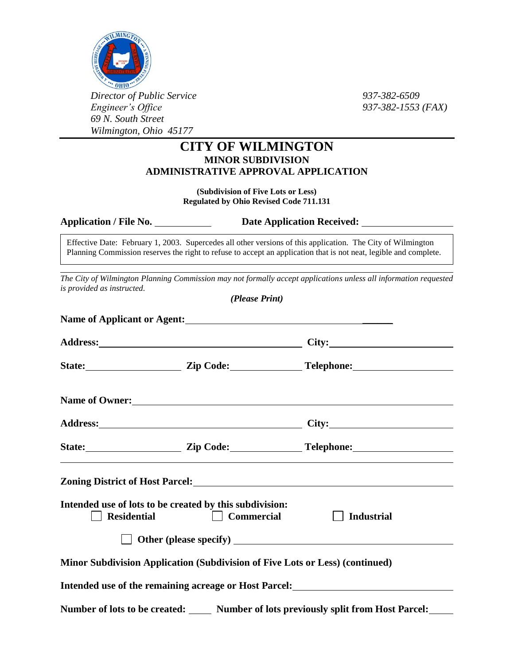

 *Director of Public Service 937-382-6509 Engineer's Office 937-382-1553 (FAX) 69 N. South Street Wilmington, Ohio 45177*

## **CITY OF WILMINGTON MINOR SUBDIVISION ADMINISTRATIVE APPROVAL APPLICATION**

**(Subdivision of Five Lots or Less) Regulated by Ohio Revised Code 711.131** 

ֺֺ֢֢ׅ֖֚֜

**Application / File No. Date Application Received:** 

Effective Date: February 1, 2003. Supercedes all other versions of this application. The City of Wilmington Planning Commission reserves the right to refuse to accept an application that is not neat, legible and complete.

*The City of Wilmington Planning Commission may not formally accept applications unless all information requested is provided as instructed. (Please Print)*

| Name of Applicant or Agent:<br><u>Name of Applicant or Agent:</u>                            |                                                                                                                        |
|----------------------------------------------------------------------------------------------|------------------------------------------------------------------------------------------------------------------------|
|                                                                                              |                                                                                                                        |
|                                                                                              | State: Zip Code: Telephone: Telephone:                                                                                 |
| Name of Owner:                                                                               |                                                                                                                        |
|                                                                                              | Address: City: City:                                                                                                   |
|                                                                                              |                                                                                                                        |
|                                                                                              | <b>Zoning District of Host Parcel:</b> Manual Manual Manual Manual Manual Manual Manual Manual Manual Manual Manual Ma |
| Intended use of lots to be created by this subdivision:<br>$Residential$ $\Box$ $Commercial$ | <b>Industrial</b>                                                                                                      |
|                                                                                              |                                                                                                                        |
| Minor Subdivision Application (Subdivision of Five Lots or Less) (continued)                 |                                                                                                                        |
|                                                                                              | Intended use of the remaining acreage or Host Parcel: ___________________________                                      |
|                                                                                              | Number of lots to be created: __ Number of lots previously split from Host Parcel:                                     |